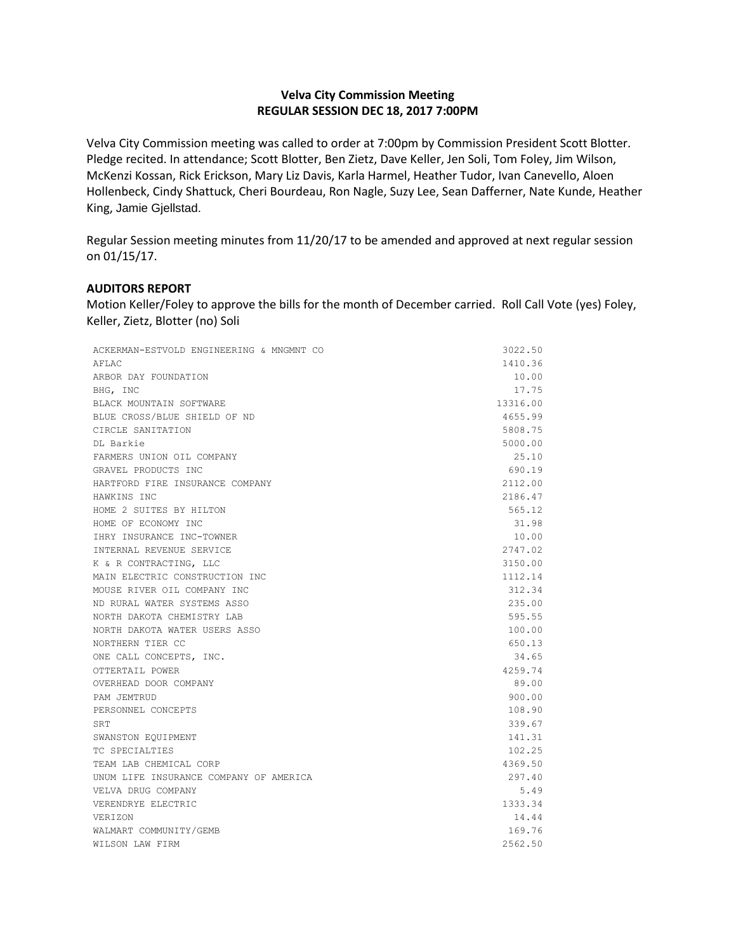## **Velva City Commission Meeting REGULAR SESSION DEC 18, 2017 7:00PM**

Velva City Commission meeting was called to order at 7:00pm by Commission President Scott Blotter. Pledge recited. In attendance; Scott Blotter, Ben Zietz, Dave Keller, Jen Soli, Tom Foley, Jim Wilson, McKenzi Kossan, Rick Erickson, Mary Liz Davis, Karla Harmel, Heather Tudor, Ivan Canevello, Aloen Hollenbeck, Cindy Shattuck, Cheri Bourdeau, Ron Nagle, Suzy Lee, Sean Dafferner, Nate Kunde, Heather King, Jamie Gjellstad.

Regular Session meeting minutes from 11/20/17 to be amended and approved at next regular session on 01/15/17.

## **AUDITORS REPORT**

Motion Keller/Foley to approve the bills for the month of December carried. Roll Call Vote (yes) Foley, Keller, Zietz, Blotter (no) Soli

| ACKERMAN-ESTVOLD ENGINEERING & MNGMNT CO | 3022.50  |
|------------------------------------------|----------|
| AFLAC                                    | 1410.36  |
| ARBOR DAY FOUNDATION                     | 10.00    |
| BHG, INC                                 | 17.75    |
| BLACK MOUNTAIN SOFTWARE                  | 13316.00 |
| BLUE CROSS/BLUE SHIELD OF ND             | 4655.99  |
| CIRCLE SANITATION                        | 5808.75  |
| DL Barkie                                | 5000.00  |
| FARMERS UNION OIL COMPANY                | 25.10    |
| GRAVEL PRODUCTS INC                      | 690.19   |
| HARTFORD FIRE INSURANCE COMPANY          | 2112.00  |
| HAWKINS INC                              | 2186.47  |
| HOME 2 SUITES BY HILTON                  | 565.12   |
| HOME OF ECONOMY INC                      | 31.98    |
| IHRY INSURANCE INC-TOWNER                | 10.00    |
| INTERNAL REVENUE SERVICE                 | 2747.02  |
| K & R CONTRACTING, LLC                   | 3150.00  |
| MAIN ELECTRIC CONSTRUCTION INC           | 1112.14  |
| MOUSE RIVER OIL COMPANY INC              | 312.34   |
| ND RURAL WATER SYSTEMS ASSO              | 235.00   |
| NORTH DAKOTA CHEMISTRY LAB               | 595.55   |
| NORTH DAKOTA WATER USERS ASSO            | 100.00   |
| NORTHERN TIER CC                         | 650.13   |
| ONE CALL CONCEPTS, INC.                  | 34.65    |
| OTTERTAIL POWER                          | 4259.74  |
| OVERHEAD DOOR COMPANY                    | 89.00    |
| PAM JEMTRUD                              | 900.00   |
| PERSONNEL CONCEPTS                       | 108.90   |
| SRT                                      | 339.67   |
| SWANSTON EQUIPMENT                       | 141.31   |
| TC SPECIALTIES                           | 102.25   |
| TEAM LAB CHEMICAL CORP                   | 4369.50  |
| UNUM LIFE INSURANCE COMPANY OF AMERICA   | 297.40   |
| VELVA DRUG COMPANY                       | 5.49     |
| VERENDRYE ELECTRIC                       | 1333.34  |
| VERIZON                                  | 14.44    |
| WALMART COMMUNITY/GEMB                   | 169.76   |
| WILSON LAW FIRM                          | 2562.50  |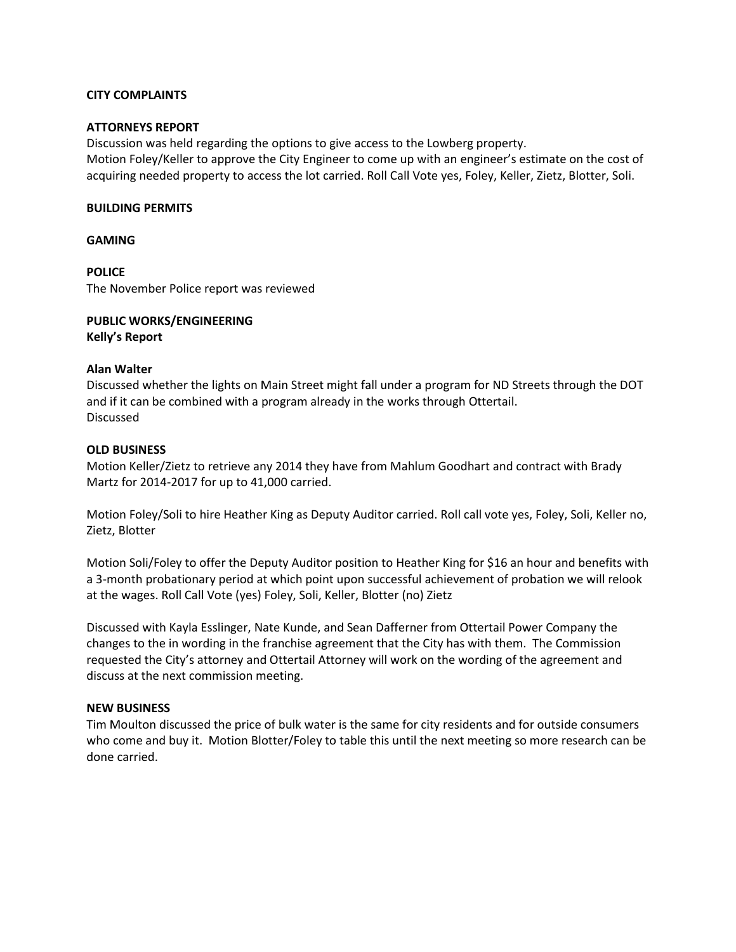### **CITY COMPLAINTS**

### **ATTORNEYS REPORT**

Discussion was held regarding the options to give access to the Lowberg property. Motion Foley/Keller to approve the City Engineer to come up with an engineer's estimate on the cost of acquiring needed property to access the lot carried. Roll Call Vote yes, Foley, Keller, Zietz, Blotter, Soli.

## **BUILDING PERMITS**

**GAMING**

**POLICE** The November Police report was reviewed

**PUBLIC WORKS/ENGINEERING Kelly's Report**

#### **Alan Walter**

Discussed whether the lights on Main Street might fall under a program for ND Streets through the DOT and if it can be combined with a program already in the works through Ottertail. Discussed

## **OLD BUSINESS**

Motion Keller/Zietz to retrieve any 2014 they have from Mahlum Goodhart and contract with Brady Martz for 2014-2017 for up to 41,000 carried.

Motion Foley/Soli to hire Heather King as Deputy Auditor carried. Roll call vote yes, Foley, Soli, Keller no, Zietz, Blotter

Motion Soli/Foley to offer the Deputy Auditor position to Heather King for \$16 an hour and benefits with a 3-month probationary period at which point upon successful achievement of probation we will relook at the wages. Roll Call Vote (yes) Foley, Soli, Keller, Blotter (no) Zietz

Discussed with Kayla Esslinger, Nate Kunde, and Sean Dafferner from Ottertail Power Company the changes to the in wording in the franchise agreement that the City has with them. The Commission requested the City's attorney and Ottertail Attorney will work on the wording of the agreement and discuss at the next commission meeting.

#### **NEW BUSINESS**

Tim Moulton discussed the price of bulk water is the same for city residents and for outside consumers who come and buy it. Motion Blotter/Foley to table this until the next meeting so more research can be done carried.